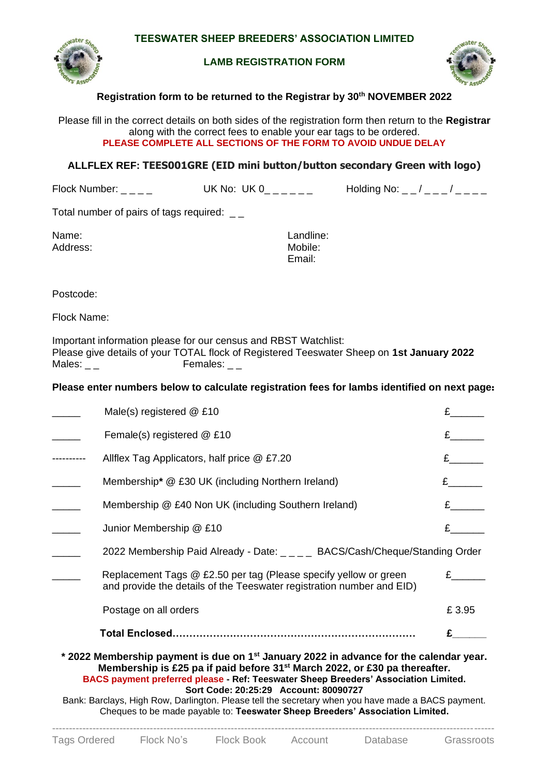

#### **LAMB REGISTRATION FORM**



## **Registration form to be returned to the Registrar by 30 th NOVEMBER 2022**

Please fill in the correct details on both sides of the registration form then return to the **Registrar** along with the correct fees to enable your ear tags to be ordered. **PLEASE COMPLETE ALL SECTIONS OF THE FORM TO AVOID UNDUE DELAY**

## **ALLFLEX REF: TEES001GRE (EID mini button/button secondary Green with logo)**

Flock Number: \_ \_ \_ \_ UK No: UK  $0$ \_ \_ \_ \_ \_ Holding No: \_ \_ / \_ \_ \_ / \_ \_ \_ \_

Total number of pairs of tags required: \_ \_

| Name:    | Landline: |
|----------|-----------|
| Address: | Mobile:   |
|          | Email:    |

Postcode:

Flock Name:

Important information please for our census and RBST Watchlist: Please give details of your TOTAL flock of Registered Teeswater Sheep on **1st January 2022** Females:  $_{-}$ 

# **Please enter numbers below to calculate registration fees for lambs identified on next page**:

|                                                                                                                                                                                                                                                                                                                                                                                                                                                                                                                     | Male(s) registered @ £10                                                                                                                  |       |  |  |  |  |
|---------------------------------------------------------------------------------------------------------------------------------------------------------------------------------------------------------------------------------------------------------------------------------------------------------------------------------------------------------------------------------------------------------------------------------------------------------------------------------------------------------------------|-------------------------------------------------------------------------------------------------------------------------------------------|-------|--|--|--|--|
|                                                                                                                                                                                                                                                                                                                                                                                                                                                                                                                     | Female(s) registered @ £10                                                                                                                |       |  |  |  |  |
|                                                                                                                                                                                                                                                                                                                                                                                                                                                                                                                     | Allflex Tag Applicators, half price @ £7.20                                                                                               |       |  |  |  |  |
|                                                                                                                                                                                                                                                                                                                                                                                                                                                                                                                     | Membership* @ £30 UK (including Northern Ireland)                                                                                         |       |  |  |  |  |
|                                                                                                                                                                                                                                                                                                                                                                                                                                                                                                                     | Membership @ £40 Non UK (including Southern Ireland)                                                                                      |       |  |  |  |  |
|                                                                                                                                                                                                                                                                                                                                                                                                                                                                                                                     | Junior Membership @ £10                                                                                                                   |       |  |  |  |  |
|                                                                                                                                                                                                                                                                                                                                                                                                                                                                                                                     | 2022 Membership Paid Already - Date: _ _ _ _ BACS/Cash/Cheque/Standing Order                                                              |       |  |  |  |  |
|                                                                                                                                                                                                                                                                                                                                                                                                                                                                                                                     | Replacement Tags @ £2.50 per tag (Please specify yellow or green<br>and provide the details of the Teeswater registration number and EID) |       |  |  |  |  |
|                                                                                                                                                                                                                                                                                                                                                                                                                                                                                                                     | Postage on all orders                                                                                                                     | £3.95 |  |  |  |  |
|                                                                                                                                                                                                                                                                                                                                                                                                                                                                                                                     |                                                                                                                                           |       |  |  |  |  |
| * 2022 Membership payment is due on 1 <sup>st</sup> January 2022 in advance for the calendar year.<br>Membership is £25 pa if paid before 31 <sup>st</sup> March 2022, or £30 pa thereafter.<br>BACS payment preferred please - Ref: Teeswater Sheep Breeders' Association Limited.<br>Sort Code: 20:25:29 Account: 80090727<br>Bank: Barclays, High Row, Darlington. Please tell the secretary when you have made a BACS payment.<br>Cheques to be made payable to: Teeswater Sheep Breeders' Association Limited. |                                                                                                                                           |       |  |  |  |  |

-----------------------------------------------------------------------------------------------------------------------------------